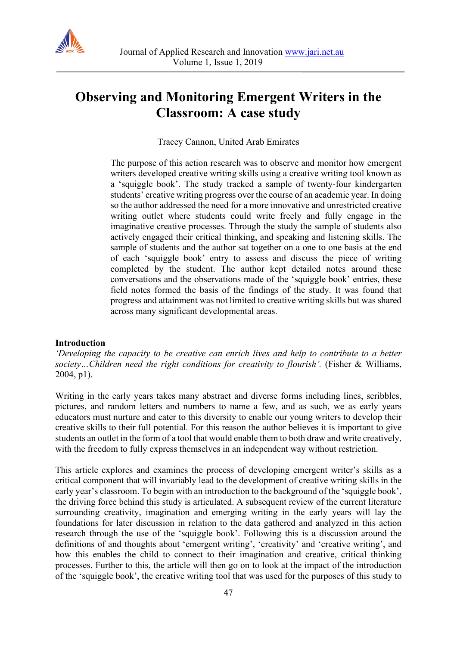

# **Observing and Monitoring Emergent Writers in the Classroom: A case study**

Tracey Cannon, United Arab Emirates

The purpose of this action research was to observe and monitor how emergent writers developed creative writing skills using a creative writing tool known as a 'squiggle book'. The study tracked a sample of twenty-four kindergarten students' creative writing progress over the course of an academic year. In doing so the author addressed the need for a more innovative and unrestricted creative writing outlet where students could write freely and fully engage in the imaginative creative processes. Through the study the sample of students also actively engaged their critical thinking, and speaking and listening skills. The sample of students and the author sat together on a one to one basis at the end of each 'squiggle book' entry to assess and discuss the piece of writing completed by the student. The author kept detailed notes around these conversations and the observations made of the 'squiggle book' entries, these field notes formed the basis of the findings of the study. It was found that progress and attainment was not limited to creative writing skills but was shared across many significant developmental areas.

# **Introduction**

*'Developing the capacity to be creative can enrich lives and help to contribute to a better*  society...Children need the right conditions for creativity to flourish'. (Fisher & Williams, 2004, p1).

Writing in the early years takes many abstract and diverse forms including lines, scribbles, pictures, and random letters and numbers to name a few, and as such, we as early years educators must nurture and cater to this diversity to enable our young writers to develop their creative skills to their full potential. For this reason the author believes it is important to give students an outlet in the form of a tool that would enable them to both draw and write creatively, with the freedom to fully express themselves in an independent way without restriction.

This article explores and examines the process of developing emergent writer's skills as a critical component that will invariably lead to the development of creative writing skills in the early year's classroom. To begin with an introduction to the background of the 'squiggle book', the driving force behind this study is articulated. A subsequent review of the current literature surrounding creativity, imagination and emerging writing in the early years will lay the foundations for later discussion in relation to the data gathered and analyzed in this action research through the use of the 'squiggle book'. Following this is a discussion around the definitions of and thoughts about 'emergent writing', 'creativity' and 'creative writing', and how this enables the child to connect to their imagination and creative, critical thinking processes. Further to this, the article will then go on to look at the impact of the introduction of the 'squiggle book', the creative writing tool that was used for the purposes of this study to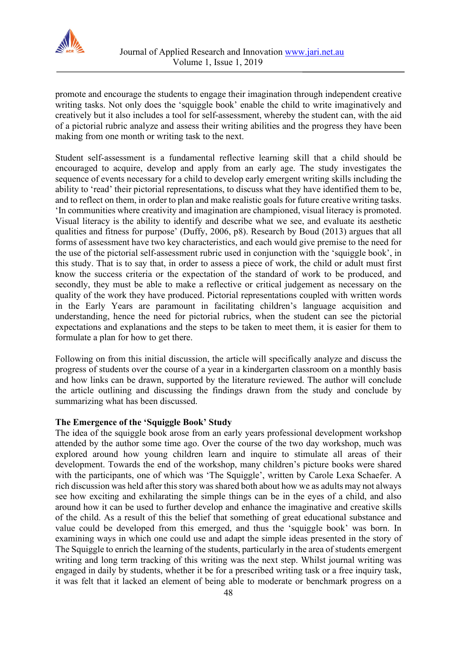

promote and encourage the students to engage their imagination through independent creative writing tasks. Not only does the 'squiggle book' enable the child to write imaginatively and creatively but it also includes a tool for self-assessment, whereby the student can, with the aid of a pictorial rubric analyze and assess their writing abilities and the progress they have been making from one month or writing task to the next.

Student self-assessment is a fundamental reflective learning skill that a child should be encouraged to acquire, develop and apply from an early age. The study investigates the sequence of events necessary for a child to develop early emergent writing skills including the ability to 'read' their pictorial representations, to discuss what they have identified them to be, and to reflect on them, in order to plan and make realistic goals for future creative writing tasks. 'In communities where creativity and imagination are championed, visual literacy is promoted. Visual literacy is the ability to identify and describe what we see, and evaluate its aesthetic qualities and fitness for purpose' (Duffy, 2006, p8). Research by Boud (2013) argues that all forms of assessment have two key characteristics, and each would give premise to the need for the use of the pictorial self-assessment rubric used in conjunction with the 'squiggle book', in this study. That is to say that, in order to assess a piece of work, the child or adult must first know the success criteria or the expectation of the standard of work to be produced, and secondly, they must be able to make a reflective or critical judgement as necessary on the quality of the work they have produced. Pictorial representations coupled with written words in the Early Years are paramount in facilitating children's language acquisition and understanding, hence the need for pictorial rubrics, when the student can see the pictorial expectations and explanations and the steps to be taken to meet them, it is easier for them to formulate a plan for how to get there.

Following on from this initial discussion, the article will specifically analyze and discuss the progress of students over the course of a year in a kindergarten classroom on a monthly basis and how links can be drawn, supported by the literature reviewed. The author will conclude the article outlining and discussing the findings drawn from the study and conclude by summarizing what has been discussed.

# **The Emergence of the 'Squiggle Book' Study**

The idea of the squiggle book arose from an early years professional development workshop attended by the author some time ago. Over the course of the two day workshop, much was explored around how young children learn and inquire to stimulate all areas of their development. Towards the end of the workshop, many children's picture books were shared with the participants, one of which was 'The Squiggle', written by Carole Lexa Schaefer. A rich discussion was held after this story was shared both about how we as adults may not always see how exciting and exhilarating the simple things can be in the eyes of a child, and also around how it can be used to further develop and enhance the imaginative and creative skills of the child. As a result of this the belief that something of great educational substance and value could be developed from this emerged, and thus the 'squiggle book' was born. In examining ways in which one could use and adapt the simple ideas presented in the story of The Squiggle to enrich the learning of the students, particularly in the area of students emergent writing and long term tracking of this writing was the next step. Whilst journal writing was engaged in daily by students, whether it be for a prescribed writing task or a free inquiry task, it was felt that it lacked an element of being able to moderate or benchmark progress on a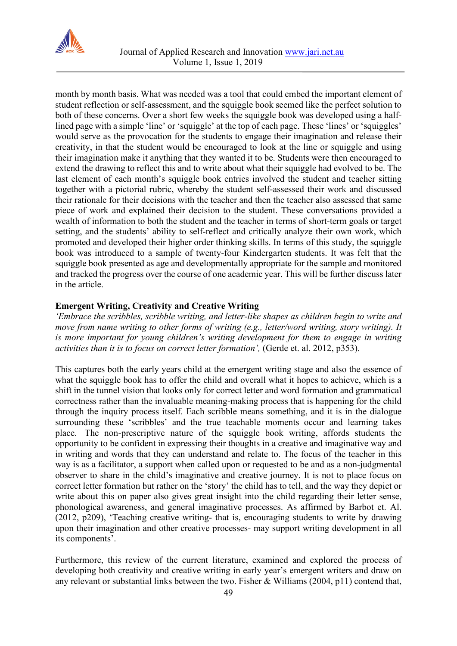

month by month basis. What was needed was a tool that could embed the important element of student reflection or self-assessment, and the squiggle book seemed like the perfect solution to both of these concerns. Over a short few weeks the squiggle book was developed using a halflined page with a simple 'line' or 'squiggle' at the top of each page. These 'lines' or 'squiggles' would serve as the provocation for the students to engage their imagination and release their creativity, in that the student would be encouraged to look at the line or squiggle and using their imagination make it anything that they wanted it to be. Students were then encouraged to extend the drawing to reflect this and to write about what their squiggle had evolved to be. The last element of each month's squiggle book entries involved the student and teacher sitting together with a pictorial rubric, whereby the student self-assessed their work and discussed their rationale for their decisions with the teacher and then the teacher also assessed that same piece of work and explained their decision to the student. These conversations provided a wealth of information to both the student and the teacher in terms of short-term goals or target setting, and the students' ability to self-reflect and critically analyze their own work, which promoted and developed their higher order thinking skills. In terms of this study, the squiggle book was introduced to a sample of twenty-four Kindergarten students. It was felt that the squiggle book presented as age and developmentally appropriate for the sample and monitored and tracked the progress over the course of one academic year. This will be further discuss later in the article.

# **Emergent Writing, Creativity and Creative Writing**

*'Embrace the scribbles, scribble writing, and letter-like shapes as children begin to write and move from name writing to other forms of writing (e.g., letter/word writing, story writing). It is more important for young children's writing development for them to engage in writing activities than it is to focus on correct letter formation',* (Gerde et. al. 2012, p353).

This captures both the early years child at the emergent writing stage and also the essence of what the squiggle book has to offer the child and overall what it hopes to achieve, which is a shift in the tunnel vision that looks only for correct letter and word formation and grammatical correctness rather than the invaluable meaning-making process that is happening for the child through the inquiry process itself. Each scribble means something, and it is in the dialogue surrounding these 'scribbles' and the true teachable moments occur and learning takes place. The non-prescriptive nature of the squiggle book writing, affords students the opportunity to be confident in expressing their thoughts in a creative and imaginative way and in writing and words that they can understand and relate to. The focus of the teacher in this way is as a facilitator, a support when called upon or requested to be and as a non-judgmental observer to share in the child's imaginative and creative journey. It is not to place focus on correct letter formation but rather on the 'story' the child has to tell, and the way they depict or write about this on paper also gives great insight into the child regarding their letter sense, phonological awareness, and general imaginative processes. As affirmed by Barbot et. Al. (2012, p209), 'Teaching creative writing- that is, encouraging students to write by drawing upon their imagination and other creative processes- may support writing development in all its components'.

Furthermore, this review of the current literature, examined and explored the process of developing both creativity and creative writing in early year's emergent writers and draw on any relevant or substantial links between the two. Fisher & Williams (2004, p11) contend that,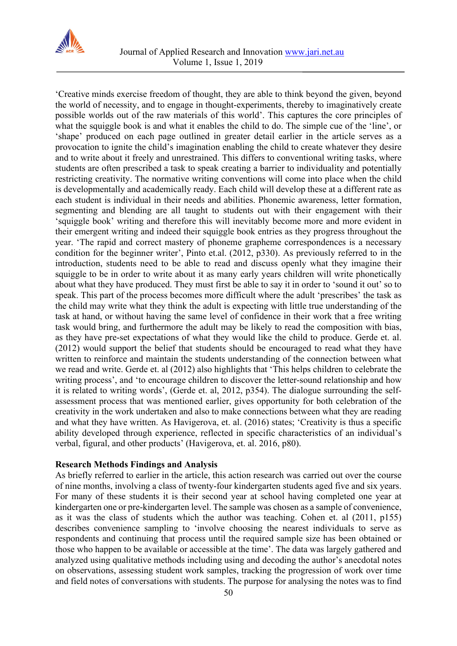

'Creative minds exercise freedom of thought, they are able to think beyond the given, beyond the world of necessity, and to engage in thought-experiments, thereby to imaginatively create possible worlds out of the raw materials of this world'. This captures the core principles of what the squiggle book is and what it enables the child to do. The simple cue of the 'line', or 'shape' produced on each page outlined in greater detail earlier in the article serves as a provocation to ignite the child's imagination enabling the child to create whatever they desire and to write about it freely and unrestrained. This differs to conventional writing tasks, where students are often prescribed a task to speak creating a barrier to individuality and potentially restricting creativity. The normative writing conventions will come into place when the child is developmentally and academically ready. Each child will develop these at a different rate as each student is individual in their needs and abilities. Phonemic awareness, letter formation, segmenting and blending are all taught to students out with their engagement with their 'squiggle book' writing and therefore this will inevitably become more and more evident in their emergent writing and indeed their squiggle book entries as they progress throughout the year. 'The rapid and correct mastery of phoneme grapheme correspondences is a necessary condition for the beginner writer', Pinto et.al. (2012, p330). As previously referred to in the introduction, students need to be able to read and discuss openly what they imagine their squiggle to be in order to write about it as many early years children will write phonetically about what they have produced. They must first be able to say it in order to 'sound it out' so to speak. This part of the process becomes more difficult where the adult 'prescribes' the task as the child may write what they think the adult is expecting with little true understanding of the task at hand, or without having the same level of confidence in their work that a free writing task would bring, and furthermore the adult may be likely to read the composition with bias, as they have pre-set expectations of what they would like the child to produce. Gerde et. al. (2012) would support the belief that students should be encouraged to read what they have written to reinforce and maintain the students understanding of the connection between what we read and write. Gerde et. al (2012) also highlights that 'This helps children to celebrate the writing process', and 'to encourage children to discover the letter-sound relationship and how it is related to writing words', (Gerde et. al, 2012, p354). The dialogue surrounding the selfassessment process that was mentioned earlier, gives opportunity for both celebration of the creativity in the work undertaken and also to make connections between what they are reading and what they have written. As Havigerova, et. al. (2016) states; 'Creativity is thus a specific ability developed through experience, reflected in specific characteristics of an individual's verbal, figural, and other products' (Havigerova, et. al. 2016, p80).

# **Research Methods Findings and Analysis**

As briefly referred to earlier in the article, this action research was carried out over the course of nine months, involving a class of twenty-four kindergarten students aged five and six years. For many of these students it is their second year at school having completed one year at kindergarten one or pre-kindergarten level. The sample was chosen as a sample of convenience, as it was the class of students which the author was teaching. Cohen et. al (2011, p155) describes convenience sampling to 'involve choosing the nearest individuals to serve as respondents and continuing that process until the required sample size has been obtained or those who happen to be available or accessible at the time'. The data was largely gathered and analyzed using qualitative methods including using and decoding the author's anecdotal notes on observations, assessing student work samples, tracking the progression of work over time and field notes of conversations with students. The purpose for analysing the notes was to find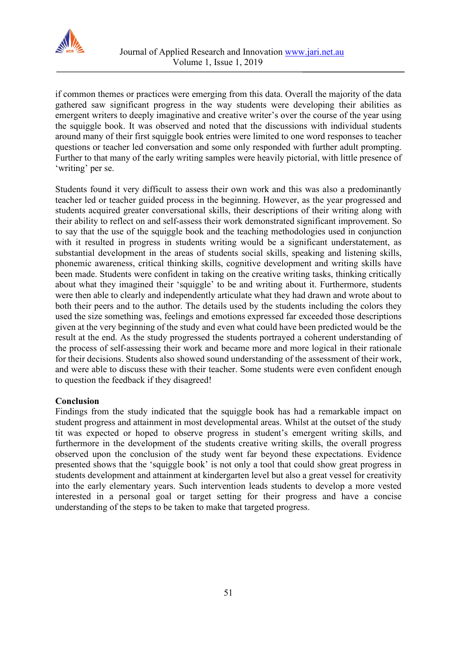

if common themes or practices were emerging from this data. Overall the majority of the data gathered saw significant progress in the way students were developing their abilities as emergent writers to deeply imaginative and creative writer's over the course of the year using the squiggle book. It was observed and noted that the discussions with individual students around many of their first squiggle book entries were limited to one word responses to teacher questions or teacher led conversation and some only responded with further adult prompting. Further to that many of the early writing samples were heavily pictorial, with little presence of 'writing' per se.

Students found it very difficult to assess their own work and this was also a predominantly teacher led or teacher guided process in the beginning. However, as the year progressed and students acquired greater conversational skills, their descriptions of their writing along with their ability to reflect on and self-assess their work demonstrated significant improvement. So to say that the use of the squiggle book and the teaching methodologies used in conjunction with it resulted in progress in students writing would be a significant understatement, as substantial development in the areas of students social skills, speaking and listening skills, phonemic awareness, critical thinking skills, cognitive development and writing skills have been made. Students were confident in taking on the creative writing tasks, thinking critically about what they imagined their 'squiggle' to be and writing about it. Furthermore, students were then able to clearly and independently articulate what they had drawn and wrote about to both their peers and to the author. The details used by the students including the colors they used the size something was, feelings and emotions expressed far exceeded those descriptions given at the very beginning of the study and even what could have been predicted would be the result at the end. As the study progressed the students portrayed a coherent understanding of the process of self-assessing their work and became more and more logical in their rationale for their decisions. Students also showed sound understanding of the assessment of their work, and were able to discuss these with their teacher. Some students were even confident enough to question the feedback if they disagreed!

# **Conclusion**

Findings from the study indicated that the squiggle book has had a remarkable impact on student progress and attainment in most developmental areas. Whilst at the outset of the study tit was expected or hoped to observe progress in student's emergent writing skills, and furthermore in the development of the students creative writing skills, the overall progress observed upon the conclusion of the study went far beyond these expectations. Evidence presented shows that the 'squiggle book' is not only a tool that could show great progress in students development and attainment at kindergarten level but also a great vessel for creativity into the early elementary years. Such intervention leads students to develop a more vested interested in a personal goal or target setting for their progress and have a concise understanding of the steps to be taken to make that targeted progress.